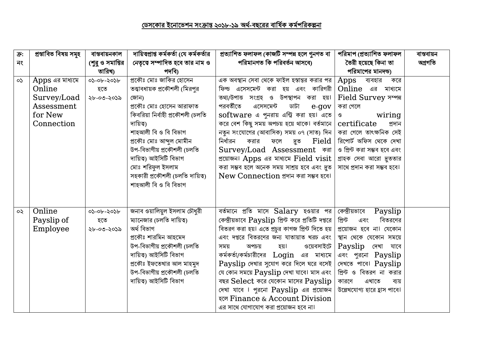| $\overline{\mathbf{P}}$ : | প্ৰস্তাবিত বিষয় সমূহ | বান্তবায়নকাল    | দায়িত্বপ্রাপ্ত কর্মকর্তা (যে কর্মকর্তার | প্রত্যাশিত ফলাফল (কাজটি সম্পন্ন হলে গুনগত বা      | পরিমাপ (প্রত্যাশিত ফলাফল     | বাস্তবায়ন |
|---------------------------|-----------------------|------------------|------------------------------------------|---------------------------------------------------|------------------------------|------------|
| নং                        |                       | শের ও সমাপ্তির   | নেতৃত্বে সম্পাদিত হবে তার নাম ও          | পরিমানগত কি পরিবর্তন আসবে৷                        | তৈরী হয়েছে কিনা তা          | অগ্ৰগতি    |
|                           |                       | তারিখ)           | পদবি)                                    |                                                   | পরিমাপের মানদন্ড)            |            |
| $\mathsf{S}$              | Apps এর মাধ্যমে       | ০১-০৮-২০১৮       | প্রকৌঃ মোঃ জাকির হোসেন                   | এক অবস্থান সেবা থেকে ফাইল হস্তান্তর করার পর       | Apps<br>ব্যবহার<br>করে       |            |
|                           | Online                | হতে              | তত্ত্বাবধায়ক প্রকৌশলী (মিরপুর           | ফিল্ড এসেসমেন্ট করা হয় এবং কারিগরী               | Online এর মাধ্যমে            |            |
|                           | Survey/Load           | ২৮-০৩-২০১৯       | জোন)                                     | তথ্য/উপাত্ত সংগ্ৰহ ও উপস্থাপন করা হয়।            | Field Survey সম্পন           |            |
|                           | Assessment            |                  | প্রকৌঃ মোঃ হোসেন আরাফাত                  | পরবর্তীতে<br>এসেসমেন্ট<br>ডাটা<br>e-gov           | করা গেলে                     |            |
|                           | for New               |                  | কিবরিয়া নির্বাহী প্রকৌশলী (চলতি         | software এ পুনরায় এন্ট্রি করা হয়। এতে           | wiring<br>$\mathcal{O}$      |            |
|                           | Connection            |                  | দায়িত্ব)                                | করে বেশ কিছু সময় অপচয় হয়ে থাকে। বর্তমানে       | certificate<br>প্ৰদান        |            |
|                           |                       |                  | শাহআলী বি ও বি বিভাগ                     | নতুন সংযোগের (আবাসিক) সময় ০৭ (সাত) দিন           | করা গেলে তাৎক্ষনিক সেই       |            |
|                           |                       |                  | প্রকৌঃ মোঃ আব্দুল মোমীন                  | নিৰ্ধারন<br>Field<br>করার<br>ফলে<br>দুত           | রিপোর্ট অফিস থেকে দেখা       |            |
|                           |                       |                  | উপ-বিভাগীয় প্রকৌশলী (চলতি               | Survey/Load Assessment कब्रा                      | ও প্রিন্ট করা সম্ভব হবে এবং  |            |
|                           |                       |                  | দায়িত্ব) আইসিটি বিভাগ                   | প্রয়োজন। Apps এর মাধ্যমে Field visit             | গ্রাহক সেবা আরো দুততার       |            |
|                           |                       |                  | মোঃ শরিফুল ইসলাম                         | করা সম্ভব হলে অনেক সময় সাশ্রয় হবে এবং দ্রুত     | সাথে প্রদান করা সম্ভব হবে।   |            |
|                           |                       |                  | সহকারী প্রকৌশলী (চলতি দায়িত্ব)          | New Connection প্ৰদান করা সম্ভব হবে।              |                              |            |
|                           |                       |                  | শাহআলী বি ও বি বিভাগ                     |                                                   |                              |            |
|                           |                       |                  |                                          |                                                   |                              |            |
|                           |                       |                  |                                          |                                                   |                              |            |
| $\infty$                  | Online                | $05 - 06 - 2056$ | জনাব ওয়ালিয়ুল ইসলাম চৌধুরী             | বর্তমানে প্রতি মাসে $Salary$ হওয়ার পর            | কেন্দ্রীয়ভাবে<br>Payslip    |            |
|                           | Payslip of            | হতে              | ম্যানেজার (চলতি দায়িত্ব)                | কেন্দ্রীয়ভাবে Payslip প্রিন্ট করে প্রতিটি দপ্তরে | প্ৰিন্ট<br>বিতরণের<br>এবং    |            |
|                           | Employee              | ২৮-০৩-২০১৯       | অৰ্থ বিভাগ                               | বিতরণ করা হয়। এতে প্রচুর কাগজ প্রিন্ট দিতে হয়   | প্রয়োজন হবে না। যেকোন       |            |
|                           |                       |                  | প্রকৌঃ শারমিন আহমেদ                      | এবং দপ্তরে বিতরণের জন্য যাতায়াত খরচ এবং          | স্থান থেকে যেকোন সময়ে       |            |
|                           |                       |                  | উপ-বিভাগীয় প্রকৌশলী (চলতি               | ওয়েবসাইটে<br>অপচয়<br>হয়।<br>সময়               | Payslip<br>দেখা যাবে         |            |
|                           |                       |                  | দায়িত্ব) আইসিটি বিভাগ                   | কর্মকর্তা/কর্মচারীদের Login এর মাধ্যমে            | এবং পুরনো Payslip            |            |
|                           |                       |                  | প্রকৌঃ ইফতেখার আল মাহমুদ                 | Payslip দেখার সুযোগ করে দিলে ঘরে বসেই             | দেখতে পাবে। Payslip          |            |
|                           |                       |                  | উপ-বিভাগীয় প্রকৌশলী (চলতি               | যে কোন সময়ে Payslip দেখা যাবে। মাস এবং           | প্রিন্ট ও বিতরণ না করার      |            |
|                           |                       |                  | দায়িত্ব) আইসিটি বিভাগ                   | বছর Select করে যেকোন মাসের Payslip                | কারণে<br>এখাতে<br>ব্যয়      |            |
|                           |                       |                  |                                          | দেখা যাবে । পুরনো Payslip এর প্রয়োজন             | উল্লেখযোগ্য হারে হ্রাস পাবে। |            |
|                           |                       |                  |                                          | रल Finance & Account Division                     |                              |            |
|                           |                       |                  |                                          | এর সাথে যোগাযোগ করা প্রয়োজন হবে না।              |                              |            |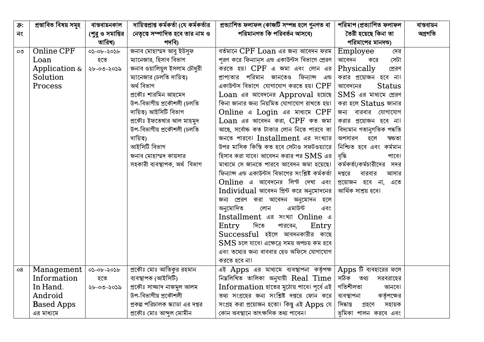| $\overline{\mathbf{P}}$ : | প্ৰস্তাবিত বিষয় সমূহ | বান্তবায়নকাল    | দায়িত্বপ্রাপ্ত কর্মকর্তা (যে কর্মকর্তার | প্রত্যাশিত ফলাফল (কাজটি সম্পন্ন হলে গুনগত বা        | পরিমাপ (প্রত্যাশিত ফলাফল      | বান্তবায়ন |
|---------------------------|-----------------------|------------------|------------------------------------------|-----------------------------------------------------|-------------------------------|------------|
| নং                        |                       | (শুরু ও সমাপ্তির | নেতৃত্বে সম্পাদিত হবে তার নাম ও          | পরিমানগত কি পরিবর্তন আসবে)                          | তৈরী হয়েছে কিনা তা           | অগ্ৰগতি    |
|                           |                       | তারিখ)           | পদবি)                                    |                                                     | পরিমাপের মানদন্ড)             |            |
| OQ                        | Online CPF            | $05 - 06 - 2056$ | জনাব মোহাম্মদ আবু ইউসুফ                  | বর্তমানে $CPF$ $Loan$ এর জন্য আবেদন ফরম             | Employee<br>দের               |            |
|                           | Loan                  | হতে              | ম্যানেজার, হিসাব বিভাগ                   | পুরণ করে ফিন্যান্স এন্ড একাউন্টস বিভাগে প্রেরণ      | সেটা<br>আবেদন<br>করে          |            |
|                           | Application $\&$      | ২৮-০৩-২০১৯       | জনাব ওয়ালিয়ুল ইসলাম চৌধুরী             | করতে হয়৷ $CPF$ এ জমা এবং লোন এর                    | Physically<br>প্রেরণ          |            |
|                           | Solution              |                  | ম্যানেজার (চলতি দায়িত্ব)                | পরিমান<br>জানতেও ফিন্যান্স এন্ড<br>প্রাপ্যতার       | করার প্রয়োজন হবে না।         |            |
|                           | Process               |                  | অৰ্থ বিভাগ                               | একাউন্টস বিভাগে যোগাযোগ করতে হয়। ${\rm CPF}$       | <b>Status</b><br>আবেদনের      |            |
|                           |                       |                  | প্রকৌঃ শারমিন আহমেদ                      | Loan এর আবেদনের Approval হয়েছে                     | $SMS$ এর মাধ্যমে প্রেরণ       |            |
|                           |                       |                  | উপ-বিভাগীয় প্রকৌশলী (চলতি               | কিনা জানার জন্য নিয়মিত যোগাযোগ রাখতে হয়।          | করা হলে Status জানার          |            |
|                           |                       |                  | দায়িত্ব) আইসিটি বিভাগ                   | Online a Login aর মাধ্যমে CPF                       | বারবার যোগাযোগ<br>জন্য        |            |
|                           |                       |                  | প্রকৌঃ ইফতেখার আল মাহমুদ                 | Loan এর আবেদন করা, CPF কত জমা                       | করার প্রয়োজন হবে না।         |            |
|                           |                       |                  | উপ-বিভাগীয় প্রকৌশলী (চলতি               | আছে, সর্বোচ্চ কত টাকার লোন নিতে পারবে তা            | বিদ্যমান গতানুগতিক পদ্ধতি     |            |
|                           |                       |                  | দায়িত্ব)                                | জনতে পারবে। Installment এর সংখ্যার                  | অপসারণ<br>হলে<br>স্বচ্চতা     |            |
|                           |                       |                  | আইসিটি বিভাগ                             | উপর মাসিক কিস্তি কত হবে সেটাও সফটওয়্যারে           | নিশ্চিত হবে এবং কর্মমান       |            |
|                           |                       |                  | জনাব মোহাম্মদ কায়সার                    | হিসাব করা যাবে। আবেদন করার পর $\mathbf{SMS}$ এর     | বৃদ্ধি<br>পাবে।               |            |
|                           |                       |                  | সহকারী ব্যবস্থাপক, অর্থ বিভাগ            | মাধ্যমে সে জানতে পারবে আবেদন জমা হয়েছে।            | কর্মকর্তা/কর্মচারীদের সদর     |            |
|                           |                       |                  |                                          | ফিন্যান্স এন্ড একাউন্টস বিভাগের সংশ্লিষ্ট কর্মকর্তা | দপ্তরে<br>বারবার<br>আসার      |            |
|                           |                       |                  |                                          | Online এ আবেদনের লিন্ট দেখা এবং                     | প্রয়োজন হবে না, এতে          |            |
|                           |                       |                  |                                          | Individual আবেদন প্রিন্ট করে অনুমোদনের              | আৰ্থিক সাশ্ৰয় হবে।           |            |
|                           |                       |                  |                                          | জন্য প্রেরণ করা আবেদন অনুমোদন<br>হলে                |                               |            |
|                           |                       |                  |                                          | অনুমোদিত<br>এমাউন্ট<br>লোন<br>এবং                   |                               |            |
|                           |                       |                  |                                          | Installment बन्न गश्या Online ब                     |                               |            |
|                           |                       |                  |                                          | দিতে<br>Entry<br>Entry<br>পারবেন,                   |                               |            |
|                           |                       |                  |                                          | Successful হইলে আবদনকারীর কাছে                      |                               |            |
|                           |                       |                  |                                          | $\text{SMS}$ চলে যাবে। এক্ষেত্রে সময় অপচয় কম হবে  |                               |            |
|                           |                       |                  |                                          | এবং তথ্যের জন্য বাববার হেড অফিসে যোগাযোগ            |                               |            |
|                           |                       |                  |                                          | করতে হবে না।                                        |                               |            |
| 08                        | Management            | $05 - 06 - 2056$ | প্রকৌঃ মোঃ আতিকুর রহমান                  | এই Apps এর মাধ্যমে ব্যবস্থাপনা কর্তৃপক্ষ            | $\Delta$ pps টি ব্যবহারের ফলে |            |
|                           | Information           | হতে              | ব্যবস্থাপক (আইসিটি)                      | নিমলিখিত তালিকা অনুযায়ী Real Time                  | সঠিক তথ্য<br>সরবরাহের         |            |
|                           | In Hand.              | ২৮-০৩-২০১৯       | প্ৰকৌঃ সাজ্জাদ নাজমুল আলম                | Information হাতের মুঠোয় পাবে। পূর্বে এই            | গতিশীলতা<br>আনবে।             |            |
|                           | Android               |                  | উপ-বিভাগীয় প্রকৌশলী                     | তথ্য সংগ্রহের জন্য সংশ্লিষ্ট দপ্তরে ফোন করে         | কর্তৃপক্ষের<br>ব্যবস্থাপনা    |            |
|                           | <b>Based Apps</b>     |                  | প্রকল্প পরিচালক স্ক্যাডা এর দপ্তর        | সংগ্ৰহ করা প্ৰয়োজন হতো। কিন্তু এই Apps যে          | সিদ্ধান্ত<br>সহায়ক<br>গ্ৰহণে |            |
|                           | এর মাধ্যমে            |                  | প্ৰকৌঃ মোঃ আব্দুল মোমীন                  | কোন অবস্থানে তাৎক্ষণিক তথ্য পাবেন।                  | ভূমিকা পালন করবে এবং          |            |